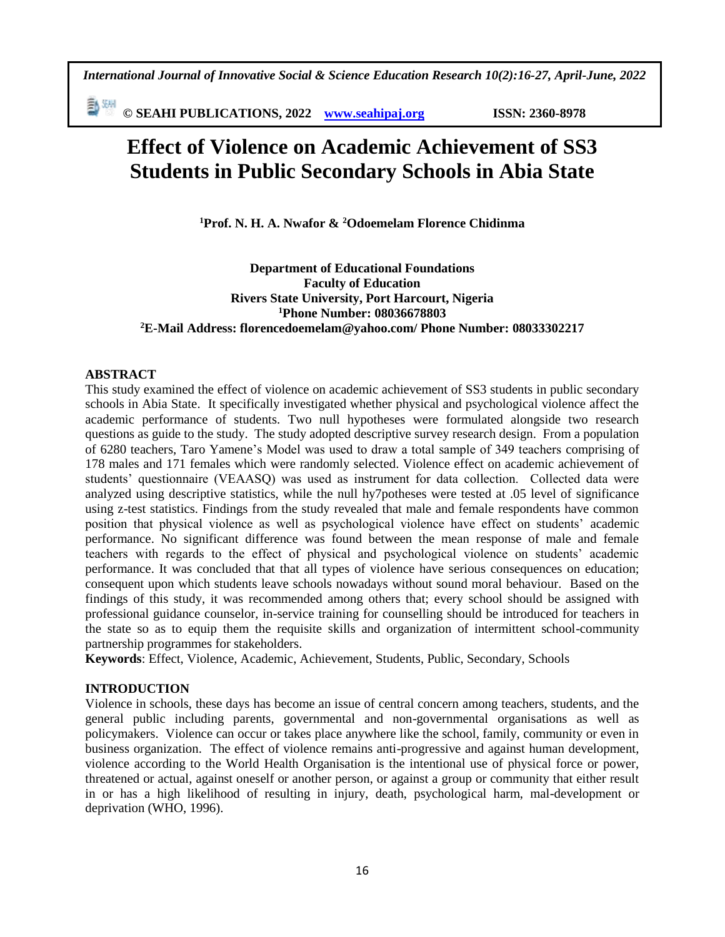勤卿 **© SEAHI PUBLICATIONS, 2022 [www.seahipaj.org](http://www.seahipaj.org/) ISSN: 2360-8978**

# **Effect of Violence on Academic Achievement of SS3 Students in Public Secondary Schools in Abia State**

**<sup>1</sup>Prof. N. H. A. Nwafor & <sup>2</sup>Odoemelam Florence Chidinma**

**Department of Educational Foundations Faculty of Education Rivers State University, Port Harcourt, Nigeria <sup>1</sup>Phone Number: 08036678803 <sup>2</sup>E-Mail Address: florencedoemelam@yahoo.com/ Phone Number: 08033302217**

## **ABSTRACT**

This study examined the effect of violence on academic achievement of SS3 students in public secondary schools in Abia State. It specifically investigated whether physical and psychological violence affect the academic performance of students. Two null hypotheses were formulated alongside two research questions as guide to the study. The study adopted descriptive survey research design. From a population of 6280 teachers, Taro Yamene's Model was used to draw a total sample of 349 teachers comprising of 178 males and 171 females which were randomly selected. Violence effect on academic achievement of students' questionnaire (VEAASQ) was used as instrument for data collection. Collected data were analyzed using descriptive statistics, while the null hy7potheses were tested at .05 level of significance using z-test statistics. Findings from the study revealed that male and female respondents have common position that physical violence as well as psychological violence have effect on students' academic performance. No significant difference was found between the mean response of male and female teachers with regards to the effect of physical and psychological violence on students' academic performance. It was concluded that that all types of violence have serious consequences on education; consequent upon which students leave schools nowadays without sound moral behaviour. Based on the findings of this study, it was recommended among others that; every school should be assigned with professional guidance counselor, in-service training for counselling should be introduced for teachers in the state so as to equip them the requisite skills and organization of intermittent school-community partnership programmes for stakeholders.

**Keywords**: Effect, Violence, Academic, Achievement, Students, Public, Secondary, Schools

## **INTRODUCTION**

Violence in schools, these days has become an issue of central concern among teachers, students, and the general public including parents, governmental and non-governmental organisations as well as policymakers. Violence can occur or takes place anywhere like the school, family, community or even in business organization. The effect of violence remains anti-progressive and against human development, violence according to the World Health Organisation is the intentional use of physical force or power, threatened or actual, against oneself or another person, or against a group or community that either result in or has a high likelihood of resulting in injury, death, psychological harm, mal-development or deprivation (WHO, 1996).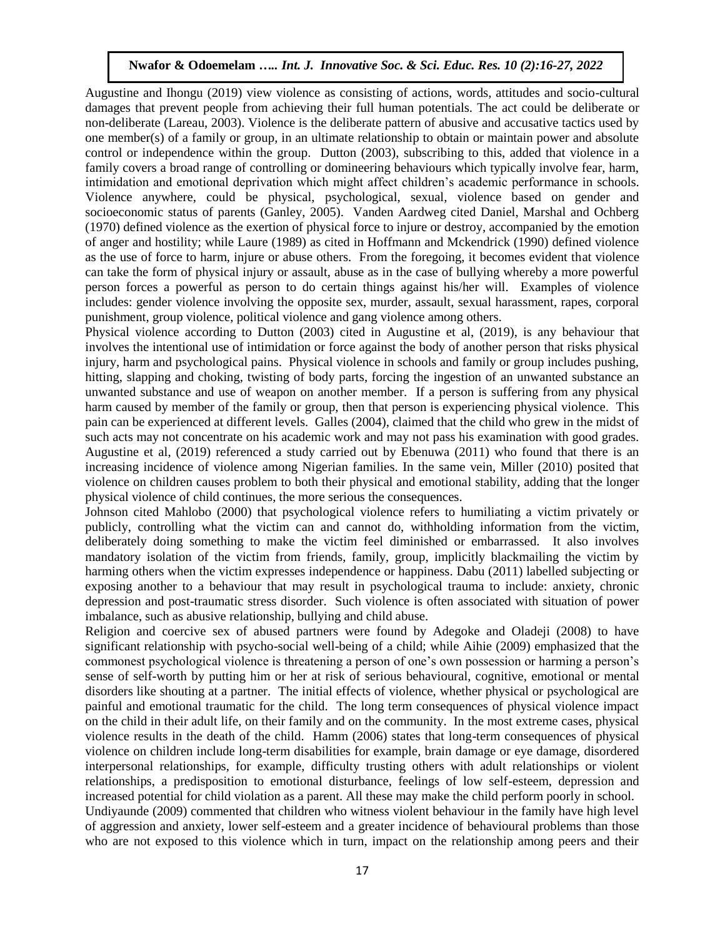Augustine and Ihongu (2019) view violence as consisting of actions, words, attitudes and socio-cultural damages that prevent people from achieving their full human potentials. The act could be deliberate or non-deliberate (Lareau, 2003). Violence is the deliberate pattern of abusive and accusative tactics used by one member(s) of a family or group, in an ultimate relationship to obtain or maintain power and absolute control or independence within the group. Dutton (2003), subscribing to this, added that violence in a family covers a broad range of controlling or domineering behaviours which typically involve fear, harm, intimidation and emotional deprivation which might affect children's academic performance in schools. Violence anywhere, could be physical, psychological, sexual, violence based on gender and socioeconomic status of parents (Ganley, 2005). Vanden Aardweg cited Daniel, Marshal and Ochberg (1970) defined violence as the exertion of physical force to injure or destroy, accompanied by the emotion of anger and hostility; while Laure (1989) as cited in Hoffmann and Mckendrick (1990) defined violence as the use of force to harm, injure or abuse others. From the foregoing, it becomes evident that violence can take the form of physical injury or assault, abuse as in the case of bullying whereby a more powerful person forces a powerful as person to do certain things against his/her will. Examples of violence includes: gender violence involving the opposite sex, murder, assault, sexual harassment, rapes, corporal punishment, group violence, political violence and gang violence among others.

Physical violence according to Dutton (2003) cited in Augustine et al, (2019), is any behaviour that involves the intentional use of intimidation or force against the body of another person that risks physical injury, harm and psychological pains. Physical violence in schools and family or group includes pushing, hitting, slapping and choking, twisting of body parts, forcing the ingestion of an unwanted substance an unwanted substance and use of weapon on another member. If a person is suffering from any physical harm caused by member of the family or group, then that person is experiencing physical violence. This pain can be experienced at different levels. Galles (2004), claimed that the child who grew in the midst of such acts may not concentrate on his academic work and may not pass his examination with good grades. Augustine et al, (2019) referenced a study carried out by Ebenuwa (2011) who found that there is an increasing incidence of violence among Nigerian families. In the same vein, Miller (2010) posited that violence on children causes problem to both their physical and emotional stability, adding that the longer physical violence of child continues, the more serious the consequences.

Johnson cited Mahlobo (2000) that psychological violence refers to humiliating a victim privately or publicly, controlling what the victim can and cannot do, withholding information from the victim, deliberately doing something to make the victim feel diminished or embarrassed. It also involves mandatory isolation of the victim from friends, family, group, implicitly blackmailing the victim by harming others when the victim expresses independence or happiness. Dabu (2011) labelled subjecting or exposing another to a behaviour that may result in psychological trauma to include: anxiety, chronic depression and post-traumatic stress disorder. Such violence is often associated with situation of power imbalance, such as abusive relationship, bullying and child abuse.

Religion and coercive sex of abused partners were found by Adegoke and Oladeji (2008) to have significant relationship with psycho-social well-being of a child; while Aihie (2009) emphasized that the commonest psychological violence is threatening a person of one's own possession or harming a person's sense of self-worth by putting him or her at risk of serious behavioural, cognitive, emotional or mental disorders like shouting at a partner. The initial effects of violence, whether physical or psychological are painful and emotional traumatic for the child. The long term consequences of physical violence impact on the child in their adult life, on their family and on the community. In the most extreme cases, physical violence results in the death of the child. Hamm (2006) states that long-term consequences of physical violence on children include long-term disabilities for example, brain damage or eye damage, disordered interpersonal relationships, for example, difficulty trusting others with adult relationships or violent relationships, a predisposition to emotional disturbance, feelings of low self-esteem, depression and increased potential for child violation as a parent. All these may make the child perform poorly in school. Undiyaunde (2009) commented that children who witness violent behaviour in the family have high level of aggression and anxiety, lower self-esteem and a greater incidence of behavioural problems than those who are not exposed to this violence which in turn, impact on the relationship among peers and their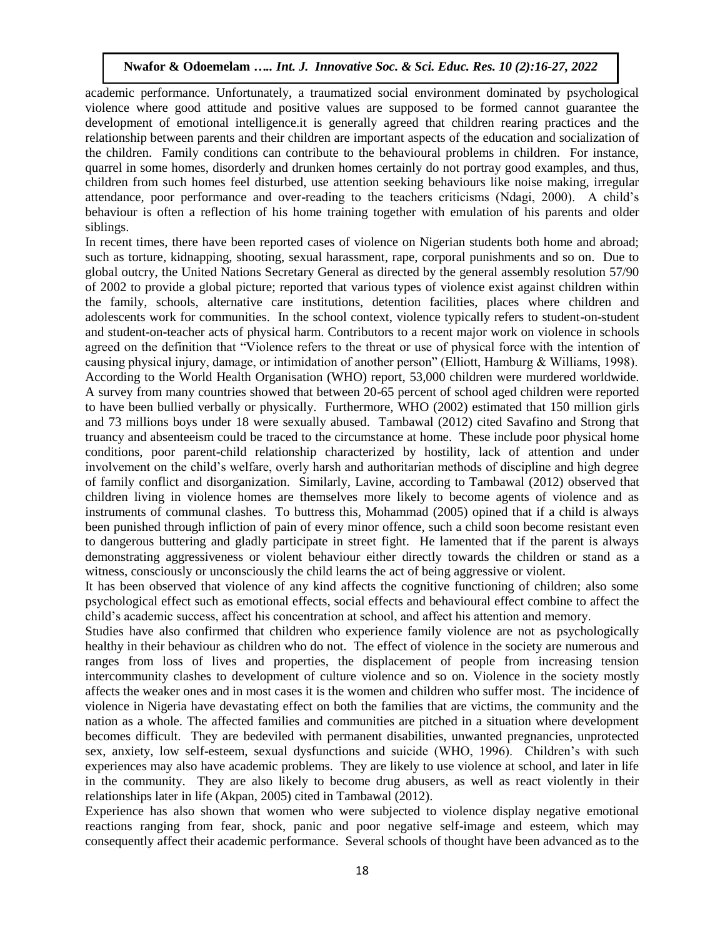academic performance. Unfortunately, a traumatized social environment dominated by psychological violence where good attitude and positive values are supposed to be formed cannot guarantee the development of emotional intelligence.it is generally agreed that children rearing practices and the relationship between parents and their children are important aspects of the education and socialization of the children. Family conditions can contribute to the behavioural problems in children. For instance, quarrel in some homes, disorderly and drunken homes certainly do not portray good examples, and thus, children from such homes feel disturbed, use attention seeking behaviours like noise making, irregular attendance, poor performance and over-reading to the teachers criticisms (Ndagi, 2000). A child's behaviour is often a reflection of his home training together with emulation of his parents and older siblings.

In recent times, there have been reported cases of violence on Nigerian students both home and abroad; such as torture, kidnapping, shooting, sexual harassment, rape, corporal punishments and so on. Due to global outcry, the United Nations Secretary General as directed by the general assembly resolution 57/90 of 2002 to provide a global picture; reported that various types of violence exist against children within the family, schools, alternative care institutions, detention facilities, places where children and adolescents work for communities. In the school context, violence typically refers to student-on-student and student-on-teacher acts of physical harm. Contributors to a recent major work on violence in schools agreed on the definition that "Violence refers to the threat or use of physical force with the intention of causing physical injury, damage, or intimidation of another person" (Elliott, Hamburg & Williams, 1998). According to the World Health Organisation (WHO) report, 53,000 children were murdered worldwide. A survey from many countries showed that between 20-65 percent of school aged children were reported to have been bullied verbally or physically. Furthermore, WHO (2002) estimated that 150 million girls and 73 millions boys under 18 were sexually abused. Tambawal (2012) cited Savafino and Strong that truancy and absenteeism could be traced to the circumstance at home. These include poor physical home conditions, poor parent-child relationship characterized by hostility, lack of attention and under involvement on the child's welfare, overly harsh and authoritarian methods of discipline and high degree of family conflict and disorganization. Similarly, Lavine, according to Tambawal (2012) observed that children living in violence homes are themselves more likely to become agents of violence and as instruments of communal clashes. To buttress this, Mohammad (2005) opined that if a child is always been punished through infliction of pain of every minor offence, such a child soon become resistant even to dangerous buttering and gladly participate in street fight. He lamented that if the parent is always demonstrating aggressiveness or violent behaviour either directly towards the children or stand as a witness, consciously or unconsciously the child learns the act of being aggressive or violent.

It has been observed that violence of any kind affects the cognitive functioning of children; also some psychological effect such as emotional effects, social effects and behavioural effect combine to affect the child's academic success, affect his concentration at school, and affect his attention and memory.

Studies have also confirmed that children who experience family violence are not as psychologically healthy in their behaviour as children who do not. The effect of violence in the society are numerous and ranges from loss of lives and properties, the displacement of people from increasing tension intercommunity clashes to development of culture violence and so on. Violence in the society mostly affects the weaker ones and in most cases it is the women and children who suffer most. The incidence of violence in Nigeria have devastating effect on both the families that are victims, the community and the nation as a whole. The affected families and communities are pitched in a situation where development becomes difficult. They are bedeviled with permanent disabilities, unwanted pregnancies, unprotected sex, anxiety, low self-esteem, sexual dysfunctions and suicide (WHO, 1996). Children's with such experiences may also have academic problems. They are likely to use violence at school, and later in life in the community. They are also likely to become drug abusers, as well as react violently in their relationships later in life (Akpan, 2005) cited in Tambawal (2012).

Experience has also shown that women who were subjected to violence display negative emotional reactions ranging from fear, shock, panic and poor negative self-image and esteem, which may consequently affect their academic performance. Several schools of thought have been advanced as to the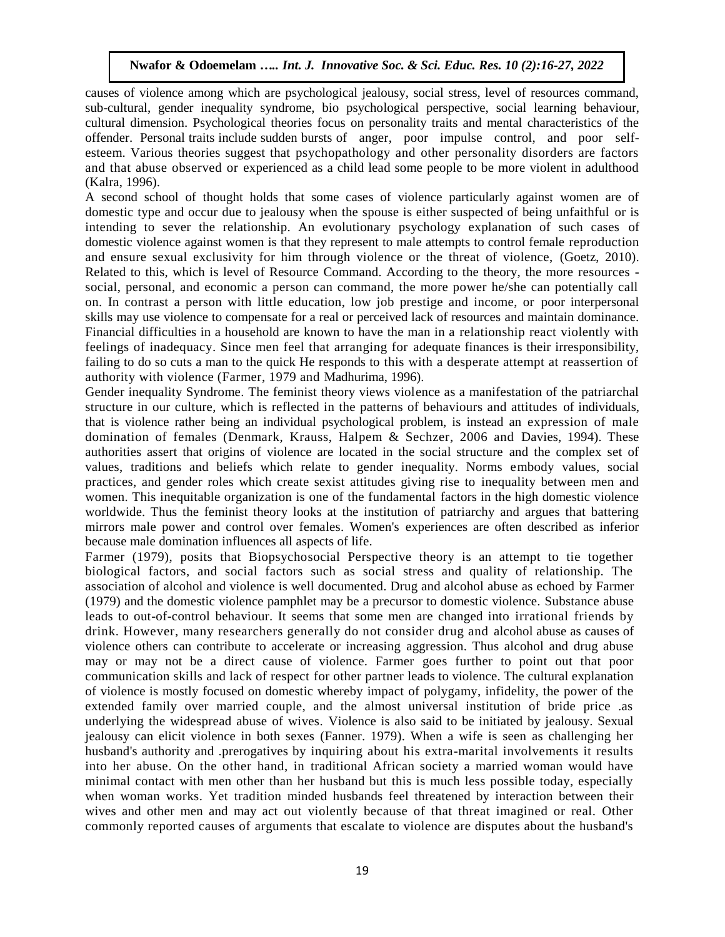causes of violence among which are psychological jealousy, social stress, level of resources command, sub-cultural, gender inequality syndrome, bio psychological perspective, social learning behaviour, cultural dimension. Psychological theories focus on personality traits and mental characteristics of the offender. Personal traits include sudden bursts of anger, poor impulse control, and poor selfesteem. Various theories suggest that psychopathology and other personality disorders are factors and that abuse observed or experienced as a child lead some people to be more violent in adulthood (Kalra, 1996).

A second school of thought holds that some cases of violence particularly against women are of domestic type and occur due to jealousy when the spouse is either suspected of being unfaithful or is intending to sever the relationship. An evolutionary psychology explanation of such cases of domestic violence against women is that they represent to male attempts to control female reproduction and ensure sexual exclusivity for him through violence or the threat of violence, (Goetz, 2010). Related to this, which is level of Resource Command. According to the theory, the more resources social, personal, and economic a person can command, the more power he/she can potentially call on. In contrast a person with little education, low job prestige and income, or poor interpersonal skills may use violence to compensate for a real or perceived lack of resources and maintain dominance. Financial difficulties in a household are known to have the man in a relationship react violently with feelings of inadequacy. Since men feel that arranging for adequate finances is their irresponsibility, failing to do so cuts a man to the quick He responds to this with a desperate attempt at reassertion of authority with violence (Farmer, 1979 and Madhurima, 1996).

Gender inequality Syndrome. The feminist theory views violence as a manifestation of the patriarchal structure in our culture, which is reflected in the patterns of behaviours and attitudes of individuals, that is violence rather being an individual psychological problem, is instead an expression of male domination of females (Denmark, Krauss, Halpem & Sechzer, 2006 and Davies, 1994). These authorities assert that origins of violence are located in the social structure and the complex set of values, traditions and beliefs which relate to gender inequality. Norms embody values, social practices, and gender roles which create sexist attitudes giving rise to inequality between men and women. This inequitable organization is one of the fundamental factors in the high domestic violence worldwide. Thus the feminist theory looks at the institution of patriarchy and argues that battering mirrors male power and control over females. Women's experiences are often described as inferior because male domination influences all aspects of life.

Farmer (1979), posits that Biopsychosocial Perspective theory is an attempt to tie together biological factors, and social factors such as social stress and quality of relationship. The association of alcohol and violence is well documented. Drug and alcohol abuse as echoed by Farmer (1979) and the domestic violence pamphlet may be a precursor to domestic violence. Substance abuse leads to out-of-control behaviour. It seems that some men are changed into irrational friends by drink. However, many researchers generally do not consider drug and alcohol abuse as causes of violence others can contribute to accelerate or increasing aggression. Thus alcohol and drug abuse may or may not be a direct cause of violence. Farmer goes further to point out that poor communication skills and lack of respect for other partner leads to violence. The cultural explanation of violence is mostly focused on domestic whereby impact of polygamy, infidelity, the power of the extended family over married couple, and the almost universal institution of bride price .as underlying the widespread abuse of wives. Violence is also said to be initiated by jealousy. Sexual jealousy can elicit violence in both sexes (Fanner. 1979). When a wife is seen as challenging her husband's authority and .prerogatives by inquiring about his extra-marital involvements it results into her abuse. On the other hand, in traditional African society a married woman would have minimal contact with men other than her husband but this is much less possible today, especially when woman works. Yet tradition minded husbands feel threatened by interaction between their wives and other men and may act out violently because of that threat imagined or real. Other commonly reported causes of arguments that escalate to violence are disputes about the husband's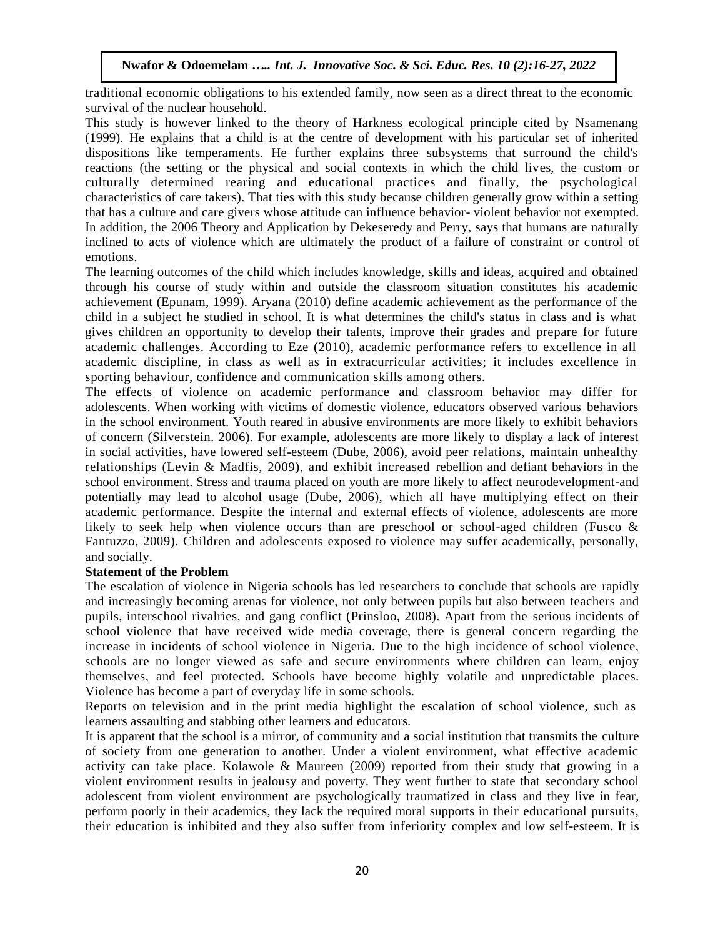traditional economic obligations to his extended family, now seen as a direct threat to the economic survival of the nuclear household.

This study is however linked to the theory of Harkness ecological principle cited by Nsamenang (1999). He explains that a child is at the centre of development with his particular set of inherited dispositions like temperaments. He further explains three subsystems that surround the child's reactions (the setting or the physical and social contexts in which the child lives, the custom or culturally determined rearing and educational practices and finally, the psychological characteristics of care takers). That ties with this study because children generally grow within a setting that has a culture and care givers whose attitude can influence behavior- violent behavior not exempted. In addition, the 2006 Theory and Application by Dekeseredy and Perry, says that humans are naturally inclined to acts of violence which are ultimately the product of a failure of constraint or control of emotions.

The learning outcomes of the child which includes knowledge, skills and ideas, acquired and obtained through his course of study within and outside the classroom situation constitutes his academic achievement (Epunam, 1999). Aryana (2010) define academic achievement as the performance of the child in a subject he studied in school. It is what determines the child's status in class and is what gives children an opportunity to develop their talents, improve their grades and prepare for future academic challenges. According to Eze (2010), academic performance refers to excellence in all academic discipline, in class as well as in extracurricular activities; it includes excellence in sporting behaviour, confidence and communication skills among others.

The effects of violence on academic performance and classroom behavior may differ for adolescents. When working with victims of domestic violence, educators observed various behaviors in the school environment. Youth reared in abusive environments are more likely to exhibit behaviors of concern (Silverstein. 2006). For example, adolescents are more likely to display a lack of interest in social activities, have lowered self-esteem (Dube, 2006), avoid peer relations, maintain unhealthy relationships (Levin & Madfis, 2009), and exhibit increased rebellion and defiant behaviors in the school environment. Stress and trauma placed on youth are more likely to affect neurodevelopment-and potentially may lead to alcohol usage (Dube, 2006), which all have multiplying effect on their academic performance. Despite the internal and external effects of violence, adolescents are more likely to seek help when violence occurs than are preschool or school-aged children (Fusco & Fantuzzo, 2009). Children and adolescents exposed to violence may suffer academically, personally, and socially.

#### **Statement of the Problem**

The escalation of violence in Nigeria schools has led researchers to conclude that schools are rapidly and increasingly becoming arenas for violence, not only between pupils but also between teachers and pupils, interschool rivalries, and gang conflict (Prinsloo, 2008). Apart from the serious incidents of school violence that have received wide media coverage, there is general concern regarding the increase in incidents of school violence in Nigeria. Due to the high incidence of school violence, schools are no longer viewed as safe and secure environments where children can learn, enjoy themselves, and feel protected. Schools have become highly volatile and unpredictable places. Violence has become a part of everyday life in some schools.

Reports on television and in the print media highlight the escalation of school violence, such as learners assaulting and stabbing other learners and educators.

It is apparent that the school is a mirror, of community and a social institution that transmits the culture of society from one generation to another. Under a violent environment, what effective academic activity can take place. Kolawole & Maureen (2009) reported from their study that growing in a violent environment results in jealousy and poverty. They went further to state that secondary school adolescent from violent environment are psychologically traumatized in class and they live in fear, perform poorly in their academics, they lack the required moral supports in their educational pursuits, their education is inhibited and they also suffer from inferiority complex and low self-esteem. It is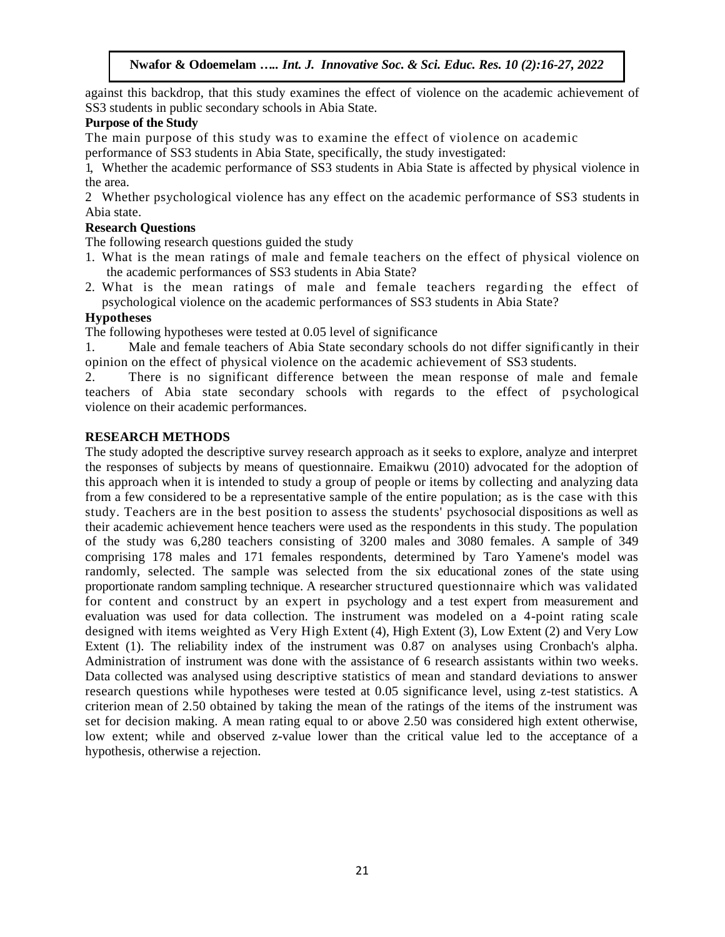against this backdrop, that this study examines the effect of violence on the academic achievement of SS3 students in public secondary schools in Abia State.

## **Purpose of the Study**

The main purpose of this study was to examine the effect of violence on academic

performance of SS3 students in Abia State, specifically, the study investigated:

1, Whether the academic performance of SS3 students in Abia State is affected by physical violence in the area.

2 Whether psychological violence has any effect on the academic performance of SS3 students in Abia state.

#### **Research Questions**

The following research questions guided the study

- 1. What is the mean ratings of male and female teachers on the effect of physical violence on the academic performances of SS3 students in Abia State?
- 2. What is the mean ratings of male and female teachers regarding the effect of psychological violence on the academic performances of SS3 students in Abia State?

## **Hypotheses**

The following hypotheses were tested at 0.05 level of significance

1. Male and female teachers of Abia State secondary schools do not differ significantly in their opinion on the effect of physical violence on the academic achievement of SS3 students.

2. There is no significant difference between the mean response of male and female teachers of Abia state secondary schools with regards to the effect of psychological violence on their academic performances.

#### **RESEARCH METHODS**

The study adopted the descriptive survey research approach as it seeks to explore, analyze and interpret the responses of subjects by means of questionnaire. Emaikwu (2010) advocated for the adoption of this approach when it is intended to study a group of people or items by collecting and analyzing data from a few considered to be a representative sample of the entire population; as is the case with this study. Teachers are in the best position to assess the students' psychosocial dispositions as well as their academic achievement hence teachers were used as the respondents in this study. The population of the study was 6,280 teachers consisting of 3200 males and 3080 females. A sample of 349 comprising 178 males and 171 females respondents, determined by Taro Yamene's model was randomly, selected. The sample was selected from the six educational zones of the state using proportionate random sampling technique. A researcher structured questionnaire which was validated for content and construct by an expert in psychology and a test expert from measurement and evaluation was used for data collection. The instrument was modeled on a 4-point rating scale designed with items weighted as Very High Extent (4), High Extent (3), Low Extent (2) and Very Low Extent (1). The reliability index of the instrument was 0.87 on analyses using Cronbach's alpha. Administration of instrument was done with the assistance of 6 research assistants within two weeks. Data collected was analysed using descriptive statistics of mean and standard deviations to answer research questions while hypotheses were tested at 0.05 significance level, using z-test statistics. A criterion mean of 2.50 obtained by taking the mean of the ratings of the items of the instrument was set for decision making. A mean rating equal to or above 2.50 was considered high extent otherwise, low extent; while and observed z-value lower than the critical value led to the acceptance of a hypothesis, otherwise a rejection.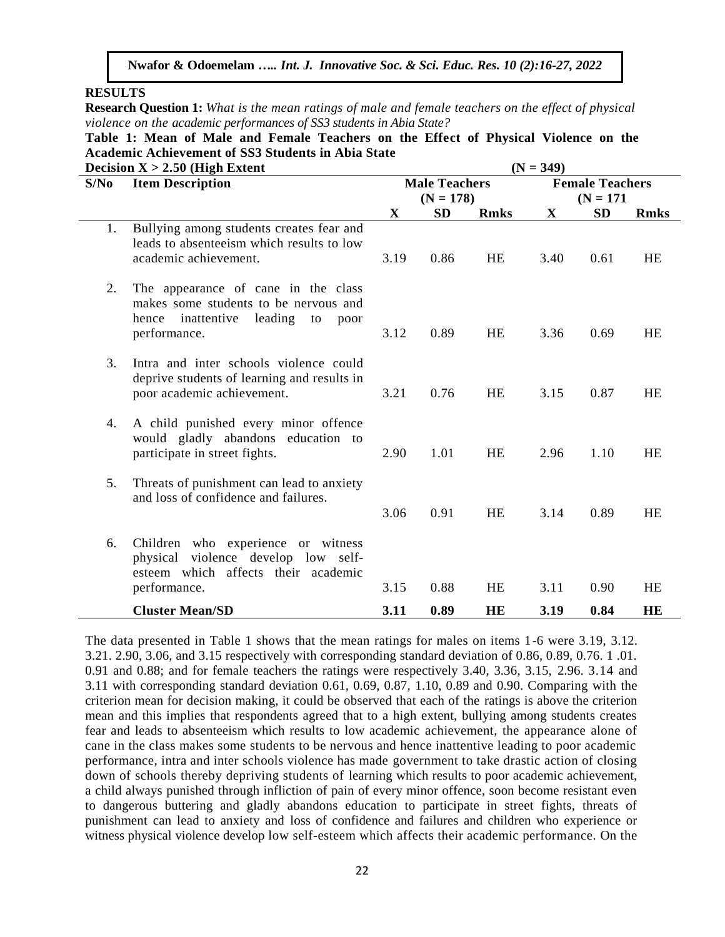**RESULTS**

**Research Question 1:** *What is the mean ratings of male and female teachers on the effect of physical violence on the academic performances of SS3 students in Abia State?*

**Table 1: Mean of Male and Female Teachers on the Effect of Physical Violence on the Academic Achievement of SS3 Students in Abia State**

|      | Decision $X > 2.50$ (High Extent                                                                                                           | $(N = 349)$  |                          |             |                                       |           |             |
|------|--------------------------------------------------------------------------------------------------------------------------------------------|--------------|--------------------------|-------------|---------------------------------------|-----------|-------------|
| S/No | <b>Item Description</b>                                                                                                                    |              | <b>Male Teachers</b>     |             | <b>Female Teachers</b><br>$(N = 171)$ |           |             |
|      |                                                                                                                                            | $\mathbf{X}$ | $(N = 178)$<br><b>SD</b> | <b>Rmks</b> | X                                     | <b>SD</b> | <b>Rmks</b> |
| 1.   | Bullying among students creates fear and<br>leads to absenteeism which results to low<br>academic achievement.                             | 3.19         | 0.86                     | <b>HE</b>   | 3.40                                  | 0.61      | <b>HE</b>   |
| 2.   | The appearance of cane in the class<br>makes some students to be nervous and<br>hence inattentive<br>leading<br>to<br>poor<br>performance. |              | 0.89                     | <b>HE</b>   | 3.36                                  | 0.69      | <b>HE</b>   |
| 3.   | Intra and inter schools violence could<br>deprive students of learning and results in<br>poor academic achievement.                        | 3.21         | 0.76                     | <b>HE</b>   | 3.15                                  | 0.87      | <b>HE</b>   |
| 4.   | A child punished every minor offence<br>would gladly abandons education to<br>participate in street fights.                                | 2.90         | 1.01                     | <b>HE</b>   | 2.96                                  | 1.10      | <b>HE</b>   |
| 5.   | Threats of punishment can lead to anxiety<br>and loss of confidence and failures.                                                          | 3.06         | 0.91                     | <b>HE</b>   | 3.14                                  | 0.89      | <b>HE</b>   |
| 6.   | Children who experience or witness<br>physical violence develop low self-<br>esteem which affects their academic<br>performance.           | 3.15         | 0.88                     | <b>HE</b>   | 3.11                                  | 0.90      | <b>HE</b>   |
|      |                                                                                                                                            |              |                          |             |                                       |           |             |
|      | <b>Cluster Mean/SD</b>                                                                                                                     | 3.11         | 0.89                     | <b>HE</b>   | 3.19                                  | 0.84      | HE          |

The data presented in Table 1 shows that the mean ratings for males on items 1-6 were 3.19, 3.12. 3.21. 2.90, 3.06, and 3.15 respectively with corresponding standard deviation of 0.86, 0.89, 0.76. 1 .01. 0.91 and 0.88; and for female teachers the ratings were respectively 3.40, 3.36, 3.15, 2.96. 3.14 and 3.11 with corresponding standard deviation 0.61, 0.69, 0.87, 1.10, 0.89 and 0.90. Comparing with the criterion mean for decision making, it could be observed that each of the ratings is above the criterion mean and this implies that respondents agreed that to a high extent, bullying among students creates fear and leads to absenteeism which results to low academic achievement, the appearance alone of cane in the class makes some students to be nervous and hence inattentive leading to poor academic performance, intra and inter schools violence has made government to take drastic action of closing down of schools thereby depriving students of learning which results to poor academic achievement, a child always punished through infliction of pain of every minor offence, soon become resistant even to dangerous buttering and gladly abandons education to participate in street fights, threats of punishment can lead to anxiety and loss of confidence and failures and children who experience or witness physical violence develop low self-esteem which affects their academic performance. On the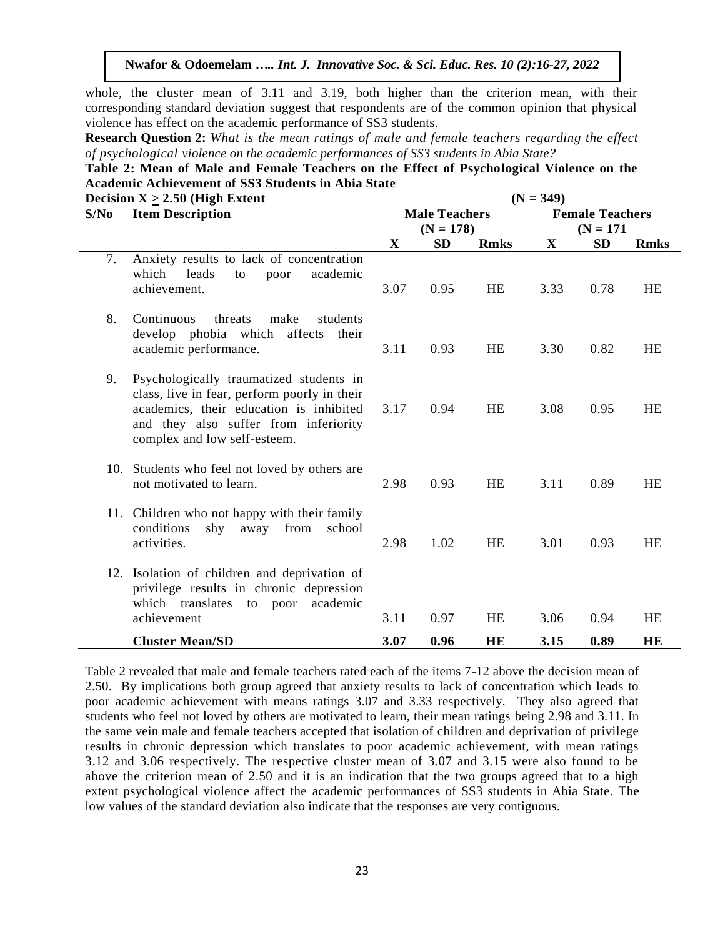whole, the cluster mean of 3.11 and 3.19, both higher than the criterion mean, with their corresponding standard deviation suggest that respondents are of the common opinion that physical violence has effect on the academic performance of SS3 students.

**Research Question 2:** *What is the mean ratings of male and female teachers regarding the effect of psychological violence on the academic performances of SS3 students in Abia State?*

| Table 2: Mean of Male and Female Teachers on the Effect of Psychological Violence on the |  |  |  |
|------------------------------------------------------------------------------------------|--|--|--|
| Academic Achievement of SS3 Students in Abia State                                       |  |  |  |

|      | Decision $X \geq 2.50$ (High Extent                                                                                                                                                                         | $(N = 349)$ |                                     |             |                                       |           |             |
|------|-------------------------------------------------------------------------------------------------------------------------------------------------------------------------------------------------------------|-------------|-------------------------------------|-------------|---------------------------------------|-----------|-------------|
| S/No | <b>Item Description</b>                                                                                                                                                                                     |             | <b>Male Teachers</b><br>$(N = 178)$ |             | <b>Female Teachers</b><br>$(N = 171)$ |           |             |
|      |                                                                                                                                                                                                             | X           | <b>SD</b>                           | <b>Rmks</b> | $\mathbf{X}$                          | <b>SD</b> | <b>Rmks</b> |
| 7.   | Anxiety results to lack of concentration<br>which<br>leads<br>academic<br>to<br>poor<br>achievement.                                                                                                        | 3.07        | 0.95                                | <b>HE</b>   | 3.33                                  | 0.78      | <b>HE</b>   |
| 8.   | make<br>Continuous<br>threats<br>students<br>develop phobia which<br>affects<br>their<br>academic performance.                                                                                              | 3.11        | 0.93                                | <b>HE</b>   | 3.30                                  | 0.82      | <b>HE</b>   |
| 9.   | Psychologically traumatized students in<br>class, live in fear, perform poorly in their<br>academics, their education is inhibited<br>and they also suffer from inferiority<br>complex and low self-esteem. | 3.17        | 0.94                                | HE          | 3.08                                  | 0.95      | <b>HE</b>   |
|      | 10. Students who feel not loved by others are<br>not motivated to learn.                                                                                                                                    | 2.98        | 0.93                                | <b>HE</b>   | 3.11                                  | 0.89      | <b>HE</b>   |
|      | 11. Children who not happy with their family<br>conditions<br>shy<br>away<br>from<br>school<br>activities.                                                                                                  | 2.98        | 1.02                                | <b>HE</b>   | 3.01                                  | 0.93      | <b>HE</b>   |
|      | 12. Isolation of children and deprivation of<br>privilege results in chronic depression<br>academic<br>which translates<br>to<br>poor<br>achievement                                                        | 3.11        | 0.97                                | <b>HE</b>   | 3.06                                  | 0.94      | <b>HE</b>   |
|      | <b>Cluster Mean/SD</b>                                                                                                                                                                                      | 3.07        | 0.96                                | <b>HE</b>   | 3.15                                  | 0.89      | HE          |

Table 2 revealed that male and female teachers rated each of the items 7-12 above the decision mean of 2.50. By implications both group agreed that anxiety results to lack of concentration which leads to poor academic achievement with means ratings 3.07 and 3.33 respectively. They also agreed that students who feel not loved by others are motivated to learn, their mean ratings being 2.98 and 3.11. In the same vein male and female teachers accepted that isolation of children and deprivation of privilege results in chronic depression which translates to poor academic achievement, with mean ratings 3.12 and 3.06 respectively. The respective cluster mean of 3.07 and 3.15 were also found to be above the criterion mean of 2.50 and it is an indication that the two groups agreed that to a high extent psychological violence affect the academic performances of SS3 students in Abia State. The low values of the standard deviation also indicate that the responses are very contiguous.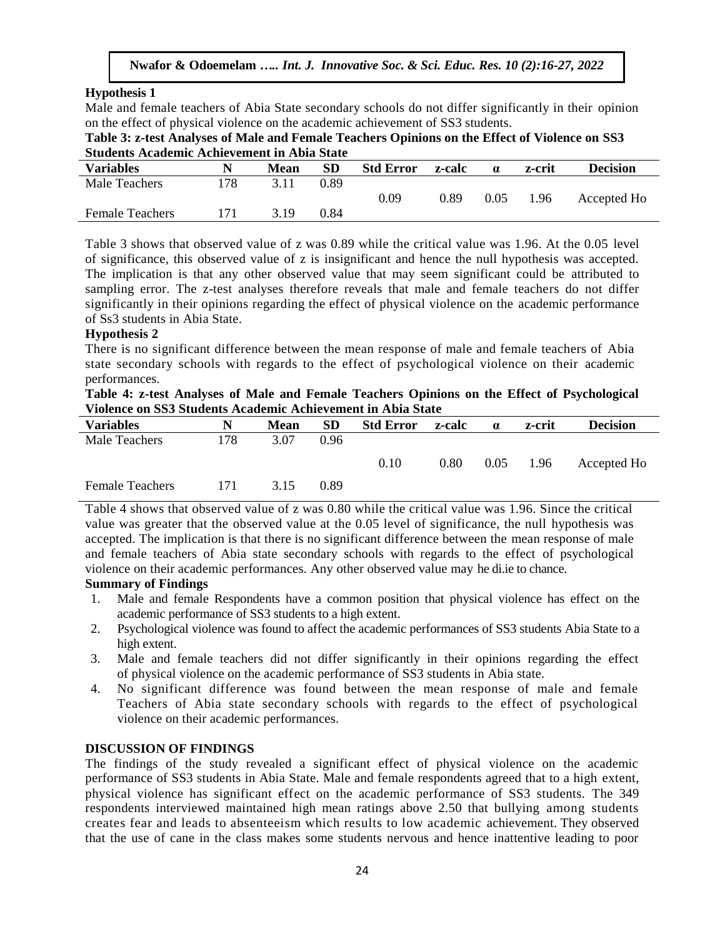# **Hypothesis 1**

Male and female teachers of Abia State secondary schools do not differ significantly in their opinion on the effect of physical violence on the academic achievement of SS3 students.

| Table 3: z-test Analyses of Male and Female Teachers Opinions on the Effect of Violence on SS3 |
|------------------------------------------------------------------------------------------------|
| <b>Students Academic Achievement in Abia State</b>                                             |

| Diuuchis Acauchiic Achievenicht in Abia Diale |     |      |      |                  |        |          |        |                 |  |
|-----------------------------------------------|-----|------|------|------------------|--------|----------|--------|-----------------|--|
| <b>Variables</b>                              |     | Mean | SD   | <b>Std Error</b> | z-calc | $\alpha$ | z-crit | <b>Decision</b> |  |
| Male Teachers                                 | 178 |      | 0.89 |                  |        |          |        |                 |  |
|                                               |     |      |      | 0.09             | 0.89   | 0.05     | 1.96   | Accepted Ho     |  |
| <b>Female Teachers</b>                        |     | 319  | 0.84 |                  |        |          |        |                 |  |
|                                               |     |      |      |                  |        |          |        |                 |  |

Table 3 shows that observed value of z was 0.89 while the critical value was 1.96. At the 0.05 level of significance, this observed value of z is insignificant and hence the null hypothesis was accepted. The implication is that any other observed value that may seem significant could be attributed to sampling error. The z-test analyses therefore reveals that male and female teachers do not differ significantly in their opinions regarding the effect of physical violence on the academic performance of Ss3 students in Abia State.

## **Hypothesis 2**

There is no significant difference between the mean response of male and female teachers of Abia state secondary schools with regards to the effect of psychological violence on their academic performances.

| Table 4: z-test Analyses of Male and Female Teachers Opinions on the Effect of Psychological |  |
|----------------------------------------------------------------------------------------------|--|
| Violence on SS3 Students Academic Achievement in Abia State                                  |  |

| <b>Variables</b>       | N   | <b>Mean</b> | <b>SD</b> | <b>Std Error</b> | z-calc | $\alpha$ | z-crit | <b>Decision</b> |
|------------------------|-----|-------------|-----------|------------------|--------|----------|--------|-----------------|
| Male Teachers          | 178 | 3.07        | 0.96      |                  |        |          |        |                 |
|                        |     |             |           | 0.10             | 0.80   | 0.05     | 1.96   | Accepted Ho     |
| <b>Female Teachers</b> | 171 | 3.15        | 0.89      |                  |        |          |        |                 |

Table 4 shows that observed value of z was 0.80 while the critical value was 1.96. Since the critical value was greater that the observed value at the 0.05 level of significance, the null hypothesis was accepted. The implication is that there is no significant difference between the mean response of male and female teachers of Abia state secondary schools with regards to the effect of psychological violence on their academic performances. Any other observed value may he di.ie to chance.

# **Summary of Findings**

- 1. Male and female Respondents have a common position that physical violence has effect on the academic performance of SS3 students to a high extent.
- 2. Psychological violence was found to affect the academic performances of SS3 students Abia State to a high extent.
- 3. Male and female teachers did not differ significantly in their opinions regarding the effect of physical violence on the academic performance of SS3 students in Abia state.
- 4. No significant difference was found between the mean response of male and female Teachers of Abia state secondary schools with regards to the effect of psychological violence on their academic performances.

## **DISCUSSION OF FINDINGS**

The findings of the study revealed a significant effect of physical violence on the academic performance of SS3 students in Abia State. Male and female respondents agreed that to a high extent, physical violence has significant effect on the academic performance of SS3 students. The 349 respondents interviewed maintained high mean ratings above 2.50 that bullying among students creates fear and leads to absenteeism which results to low academic achievement. They observed that the use of cane in the class makes some students nervous and hence inattentive leading to poor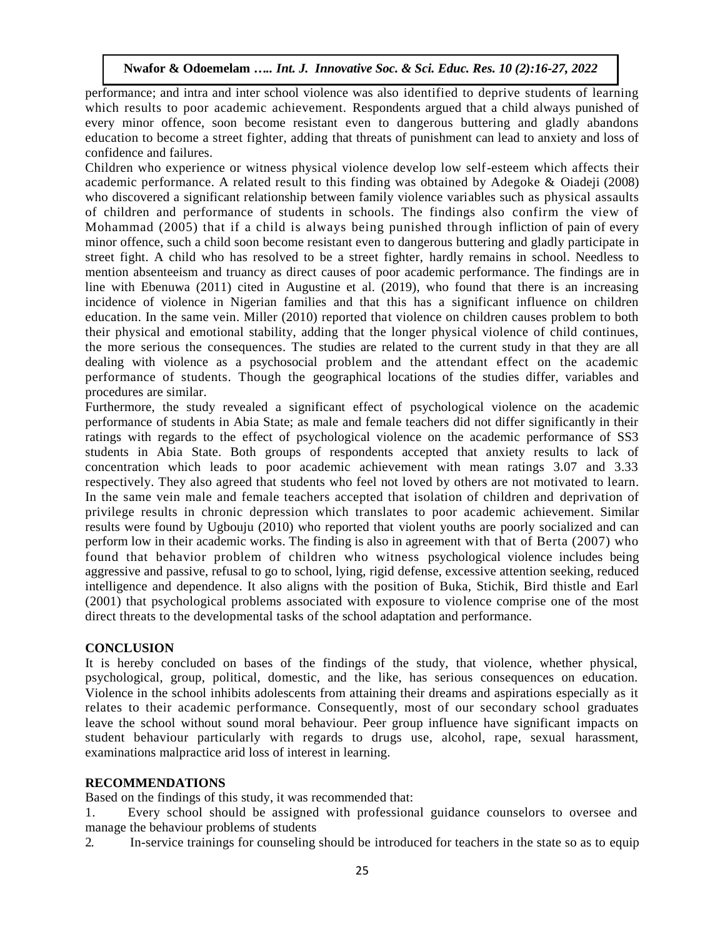performance; and intra and inter school violence was also identified to deprive students of learning which results to poor academic achievement. Respondents argued that a child always punished of every minor offence, soon become resistant even to dangerous buttering and gladly abandons education to become a street fighter, adding that threats of punishment can lead to anxiety and loss of confidence and failures.

Children who experience or witness physical violence develop low self-esteem which affects their academic performance. A related result to this finding was obtained by Adegoke & Oiadeji (2008) who discovered a significant relationship between family violence variables such as physical assaults of children and performance of students in schools. The findings also confirm the view of Mohammad (2005) that if a child is always being punished through infliction of pain of every minor offence, such a child soon become resistant even to dangerous buttering and gladly participate in street fight. A child who has resolved to be a street fighter, hardly remains in school. Needless to mention absenteeism and truancy as direct causes of poor academic performance. The findings are in line with Ebenuwa (2011) cited in Augustine et al. (2019), who found that there is an increasing incidence of violence in Nigerian families and that this has a significant influence on children education. In the same vein. Miller (2010) reported that violence on children causes problem to both their physical and emotional stability, adding that the longer physical violence of child continues, the more serious the consequences. The studies are related to the current study in that they are all dealing with violence as a psychosocial problem and the attendant effect on the academic performance of students. Though the geographical locations of the studies differ, variables and procedures are similar.

Furthermore, the study revealed a significant effect of psychological violence on the academic performance of students in Abia State; as male and female teachers did not differ significantly in their ratings with regards to the effect of psychological violence on the academic performance of SS3 students in Abia State. Both groups of respondents accepted that anxiety results to lack of concentration which leads to poor academic achievement with mean ratings 3.07 and 3.33 respectively. They also agreed that students who feel not loved by others are not motivated to learn. In the same vein male and female teachers accepted that isolation of children and deprivation of privilege results in chronic depression which translates to poor academic achievement. Similar results were found by Ugbouju (2010) who reported that violent youths are poorly socialized and can perform low in their academic works. The finding is also in agreement with that of Berta (2007) who found that behavior problem of children who witness psychological violence includes being aggressive and passive, refusal to go to school, lying, rigid defense, excessive attention seeking, reduced intelligence and dependence. It also aligns with the position of Buka, Stichik, Bird thistle and Earl (2001) that psychological problems associated with exposure to violence comprise one of the most direct threats to the developmental tasks of the school adaptation and performance.

## **CONCLUSION**

It is hereby concluded on bases of the findings of the study, that violence, whether physical, psychological, group, political, domestic, and the like, has serious consequences on education. Violence in the school inhibits adolescents from attaining their dreams and aspirations especially as it relates to their academic performance. Consequently, most of our secondary school graduates leave the school without sound moral behaviour. Peer group influence have significant impacts on student behaviour particularly with regards to drugs use, alcohol, rape, sexual harassment, examinations malpractice arid loss of interest in learning.

## **RECOMMENDATIONS**

Based on the findings of this study, it was recommended that:

- 1. Every school should be assigned with professional guidance counselors to oversee and manage the behaviour problems of students
- 2. In-service trainings for counseling should be introduced for teachers in the state so as to equip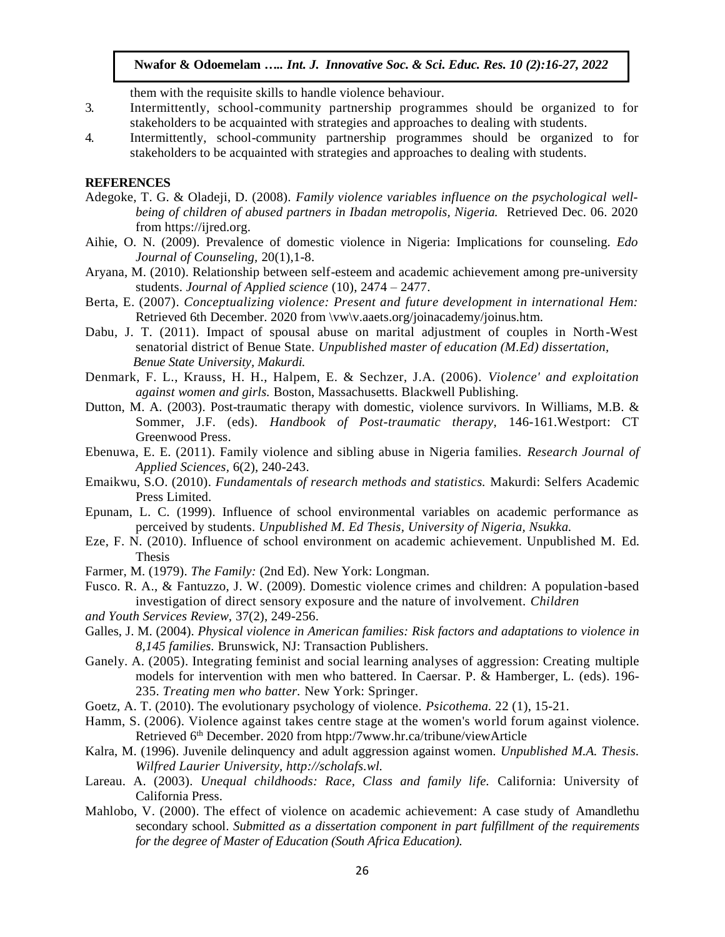them with the requisite skills to handle violence behaviour.

- 3. Intermittently, school-community partnership programmes should be organized to for stakeholders to be acquainted with strategies and approaches to dealing with students.
- 4. Intermittently, school-community partnership programmes should be organized to for stakeholders to be acquainted with strategies and approaches to dealing with students.

#### **REFERENCES**

- Adegoke, T. G. & Oladeji, D. (2008). *Family violence variables influence on the psychological wellbeing of children of abused partners in Ibadan metropolis, Nigeria.* Retrieved Dec. 06. 2020 from https://ijred.org.
- Aihie, O. N. (2009). Prevalence of domestic violence in Nigeria: Implications for counseling. *Edo Journal of Counseling,* 20(1),1-8.
- Aryana, M. (2010). Relationship between self-esteem and academic achievement among pre-university students. *Journal of Applied science* (10), 2474 – 2477.
- Berta, E. (2007). *Conceptualizing violence: Present and future development in international Hem:*  Retrieved 6th December. 2020 from \vw\v.aaets.org/joinacademy/joinus.htm.
- Dabu, J. T. (2011). Impact of spousal abuse on marital adjustment of couples in North-West senatorial district of Benue State. *Unpublished master of education (M.Ed) dissertation, Benue State University, Makurdi.*
- Denmark, F. L., Krauss, H. H., Halpem, E. & Sechzer, J.A. (2006). *Violence' and exploitation against women and girls.* Boston, Massachusetts. Blackwell Publishing.
- Dutton, M. A. (2003). Post-traumatic therapy with domestic, violence survivors. In Williams, M.B. & Sommer, J.F. (eds). *Handbook of Post-traumatic therapy,* 146-161.Westport: CT Greenwood Press.
- Ebenuwa, E. E. (2011). Family violence and sibling abuse in Nigeria families. *Research Journal of Applied Sciences,* 6(2), 240-243.
- Emaikwu, S.O. (2010). *Fundamentals of research methods and statistics.* Makurdi: Selfers Academic Press Limited.
- Epunam, L. C. (1999). Influence of school environmental variables on academic performance as perceived by students. *Unpublished M. Ed Thesis, University of Nigeria, Nsukka.*
- Eze, F. N. (2010). Influence of school environment on academic achievement. Unpublished M. Ed. Thesis
- Farmer, M. (1979). *The Family:* (2nd Ed). New York: Longman.
- Fusco. R. A., & Fantuzzo, J. W. (2009). Domestic violence crimes and children: A population-based investigation of direct sensory exposure and the nature of involvement. *Children*
- *and Youth Services Review,* 37(2), 249-256.
- Galles, J. M. (2004). *Physical violence in American families: Risk factors and adaptations to violence in 8,145 families.* Brunswick, NJ: Transaction Publishers.
- Ganely. A. (2005). Integrating feminist and social learning analyses of aggression: Creating multiple models for intervention with men who battered. In Caersar. P. & Hamberger, L. (eds). 196- 235. *Treating men who batter.* New York: Springer.
- Goetz, A. T. (2010). The evolutionary psychology of violence. *Psicothema.* 22 (1), 15-21.
- Hamm, S. (2006). Violence against takes centre stage at the women's world forum against violence. Retrieved 6<sup>th</sup> December. 2020 from htpp:/7www.hr.ca/tribune/viewArticle
- Kalra, M. (1996). Juvenile delinquency and adult aggression against women. *Unpublished M.A. Thesis. Wilfred Laurier University, http://scholafs.wl.*
- Lareau. A. (2003). *Unequal childhoods: Race, Class and family life.* California: University of California Press.
- Mahlobo, V. (2000). The effect of violence on academic achievement: A case study of Amandlethu secondary school. *Submitted as a dissertation component in part fulfillment of the requirements for the degree of Master of Education (South Africa Education).*